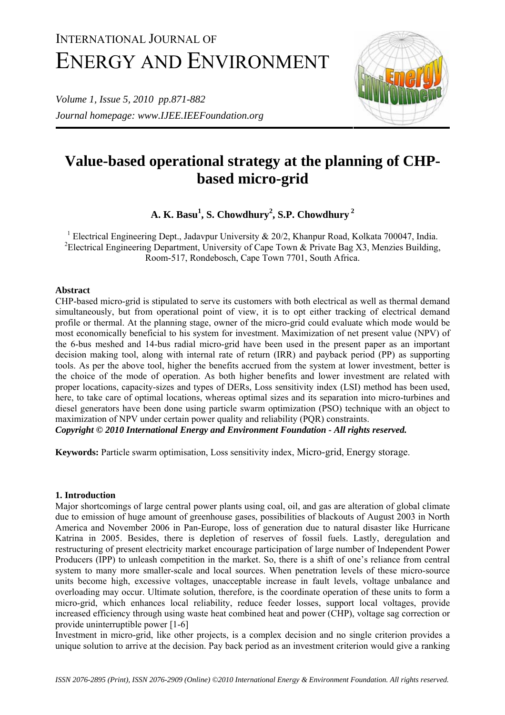# INTERNATIONAL JOURNAL OF ENERGY AND ENVIRONMENT

*Volume 1, Issue 5, 2010 pp.871-882 Journal homepage: www.IJEE.IEEFoundation.org* 



# **Value-based operational strategy at the planning of CHPbased micro-grid**

**A. K. Basu1 , S. Chowdhury<sup>2</sup> , S.P. Chowdhury<sup>2</sup>**

<sup>1</sup> Electrical Engineering Dept., Jadavpur University & 20/2, Khanpur Road, Kolkata 700047, India. <sup>2</sup> Electrical Engineering Department, University of Cape Town & Private Bag X3, Menzies Building, Room-517, Rondebosch, Cape Town 7701, South Africa.

# **Abstract**

CHP-based micro-grid is stipulated to serve its customers with both electrical as well as thermal demand simultaneously, but from operational point of view, it is to opt either tracking of electrical demand profile or thermal. At the planning stage, owner of the micro-grid could evaluate which mode would be most economically beneficial to his system for investment. Maximization of net present value (NPV) of the 6-bus meshed and 14-bus radial micro-grid have been used in the present paper as an important decision making tool, along with internal rate of return (IRR) and payback period (PP) as supporting tools. As per the above tool, higher the benefits accrued from the system at lower investment, better is the choice of the mode of operation. As both higher benefits and lower investment are related with proper locations, capacity-sizes and types of DERs, Loss sensitivity index (LSI) method has been used, here, to take care of optimal locations, whereas optimal sizes and its separation into micro-turbines and diesel generators have been done using particle swarm optimization (PSO) technique with an object to maximization of NPV under certain power quality and reliability (PQR) constraints.

*Copyright © 2010 International Energy and Environment Foundation - All rights reserved.*

**Keywords:** Particle swarm optimisation, Loss sensitivity index, Micro-grid, Energy storage.

# **1. Introduction**

Major shortcomings of large central power plants using coal, oil, and gas are alteration of global climate due to emission of huge amount of greenhouse gases, possibilities of blackouts of August 2003 in North America and November 2006 in Pan-Europe, loss of generation due to natural disaster like Hurricane Katrina in 2005. Besides, there is depletion of reserves of fossil fuels. Lastly, deregulation and restructuring of present electricity market encourage participation of large number of Independent Power Producers (IPP) to unleash competition in the market. So, there is a shift of one's reliance from central system to many more smaller-scale and local sources. When penetration levels of these micro-source units become high, excessive voltages, unacceptable increase in fault levels, voltage unbalance and overloading may occur. Ultimate solution, therefore, is the coordinate operation of these units to form a micro-grid, which enhances local reliability, reduce feeder losses, support local voltages, provide increased efficiency through using waste heat combined heat and power (CHP), voltage sag correction or provide uninterruptible power [1-6]

Investment in micro-grid, like other projects, is a complex decision and no single criterion provides a unique solution to arrive at the decision. Pay back period as an investment criterion would give a ranking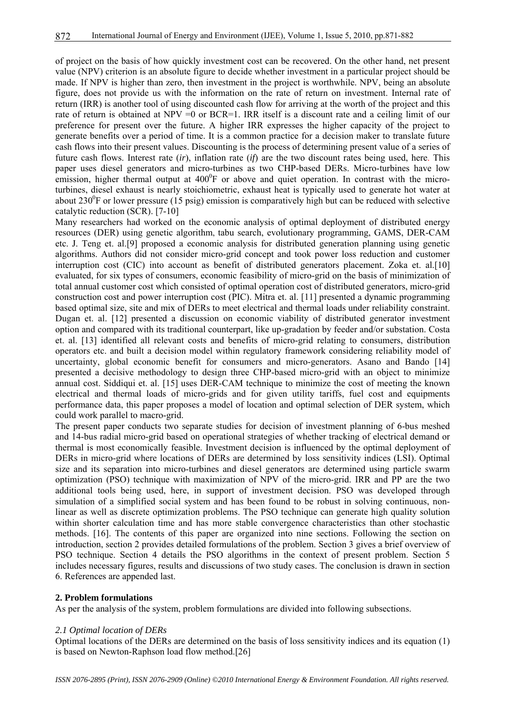of project on the basis of how quickly investment cost can be recovered. On the other hand, net present value (NPV) criterion is an absolute figure to decide whether investment in a particular project should be made. If NPV is higher than zero, then investment in the project is worthwhile. NPV, being an absolute figure, does not provide us with the information on the rate of return on investment. Internal rate of return (IRR) is another tool of using discounted cash flow for arriving at the worth of the project and this rate of return is obtained at NPV = 0 or BCR=1. IRR itself is a discount rate and a ceiling limit of our preference for present over the future. A higher IRR expresses the higher capacity of the project to generate benefits over a period of time. It is a common practice for a decision maker to translate future cash flows into their present values. Discounting is the process of determining present value of a series of future cash flows. Interest rate (*ir*), inflation rate (*if*) are the two discount rates being used, here. This paper uses diesel generators and micro-turbines as two CHP-based DERs. Micro-turbines have low emission, higher thermal output at  $400^{\circ}$ F or above and quiet operation. In contrast with the microturbines, diesel exhaust is nearly stoichiometric, exhaust heat is typically used to generate hot water at about 230 $\rm{^0F}$  or lower pressure (15 psig) emission is comparatively high but can be reduced with selective catalytic reduction (SCR). [7-10]

Many researchers had worked on the economic analysis of optimal deployment of distributed energy resources (DER) using genetic algorithm, tabu search, evolutionary programming, GAMS, DER-CAM etc. J. Teng et. al.[9] proposed a economic analysis for distributed generation planning using genetic algorithms. Authors did not consider micro-grid concept and took power loss reduction and customer interruption cost (CIC) into account as benefit of distributed generators placement. Zoka et. al.[10] evaluated, for six types of consumers, economic feasibility of micro-grid on the basis of minimization of total annual customer cost which consisted of optimal operation cost of distributed generators, micro-grid construction cost and power interruption cost (PIC). Mitra et. al. [11] presented a dynamic programming based optimal size, site and mix of DERs to meet electrical and thermal loads under reliability constraint. Dugan et. al. [12] presented a discussion on economic viability of distributed generator investment option and compared with its traditional counterpart, like up-gradation by feeder and/or substation. Costa et. al. [13] identified all relevant costs and benefits of micro-grid relating to consumers, distribution operators etc. and built a decision model within regulatory framework considering reliability model of uncertainty, global economic benefit for consumers and micro-generators. Asano and Bando [14] presented a decisive methodology to design three CHP-based micro-grid with an object to minimize annual cost. Siddiqui et. al. [15] uses DER-CAM technique to minimize the cost of meeting the known electrical and thermal loads of micro-grids and for given utility tariffs, fuel cost and equipments performance data, this paper proposes a model of location and optimal selection of DER system, which could work parallel to macro-grid.

The present paper conducts two separate studies for decision of investment planning of 6-bus meshed and 14-bus radial micro-grid based on operational strategies of whether tracking of electrical demand or thermal is most economically feasible. Investment decision is influenced by the optimal deployment of DERs in micro-grid where locations of DERs are determined by loss sensitivity indices (LSI). Optimal size and its separation into micro-turbines and diesel generators are determined using particle swarm optimization (PSO) technique with maximization of NPV of the micro-grid. IRR and PP are the two additional tools being used, here, in support of investment decision. PSO was developed through simulation of a simplified social system and has been found to be robust in solving continuous, nonlinear as well as discrete optimization problems. The PSO technique can generate high quality solution within shorter calculation time and has more stable convergence characteristics than other stochastic methods. [16]. The contents of this paper are organized into nine sections. Following the section on introduction, section 2 provides detailed formulations of the problem. Section 3 gives a brief overview of PSO technique. Section 4 details the PSO algorithms in the context of present problem. Section 5 includes necessary figures, results and discussions of two study cases. The conclusion is drawn in section 6. References are appended last.

#### **2. Problem formulations**

As per the analysis of the system, problem formulations are divided into following subsections.

#### *2.1 Optimal location of DERs*

Optimal locations of the DERs are determined on the basis of loss sensitivity indices and its equation (1) is based on Newton-Raphson load flow method.[26]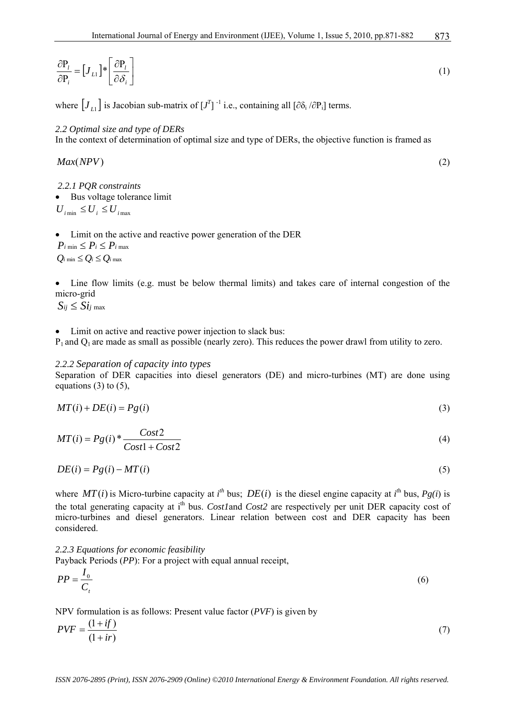$$
\frac{\partial P_i}{\partial P_i} = [J_{L1}]^* \left[ \frac{\partial P_i}{\partial \delta_i} \right]
$$
\n(1)

where  $[J_{L1}]$  is Jacobian sub-matrix of  $[J^T]$ <sup>-1</sup> i.e., containing all  $[\partial \delta_i / \partial P_i]$  terms.

#### *2.2 Optimal size and type of DERs*

In the context of determination of optimal size and type of DERs, the objective function is framed as

*Max*(*NPV*) (2)

873

*2.2.1 PQR constraints*

• Bus voltage tolerance limit

 $U_{i \text{min}} \leq U_i \leq U_{i \text{max}}$ 

• Limit on the active and reactive power generation of the DER

 $P_i$  min  $\leq P_i \leq P_i$  max  $Q_i$  min  $\leq Q_i \leq Q_i$  max

• Line flow limits (e.g. must be below thermal limits) and takes care of internal congestion of the micro-grid

 $S_{ij} \leq S_{ij}$  max

• Limit on active and reactive power injection to slack bus:

 $P_1$  and  $Q_1$  are made as small as possible (nearly zero). This reduces the power drawl from utility to zero.

# *2.2.2 Separation of capacity into types*

Separation of DER capacities into diesel generators (DE) and micro-turbines (MT) are done using equations  $(3)$  to  $(5)$ ,

$$
MT(i) + DE(i) = Pg(i)
$$
\n<sup>(3)</sup>

$$
MT(i) = Pg(i) * \frac{Cost2}{Cost1 + Cost2}
$$
\n<sup>(4)</sup>

$$
DE(i) = Pg(i) - MT(i)
$$
\n<sup>(5)</sup>

where  $MT(i)$  is Micro-turbine capacity at *i*<sup>th</sup> bus;  $DE(i)$  is the diesel engine capacity at *i*<sup>th</sup> bus,  $Pg(i)$  is the total generating capacity at i<sup>th</sup> bus. *Cost1* and *Cost2* are respectively per unit DER capacity cost of micro-turbines and diesel generators. Linear relation between cost and DER capacity has been considered.

*2.2.3 Equations for economic feasibility*  Payback Periods (*PP*): For a project with equal annual receipt,

$$
PP = \frac{I_0}{C_t} \tag{6}
$$

NPV formulation is as follows: Present value factor (*PVF*) is given by

$$
PVF = \frac{(1+if)}{(1+ir)}\tag{7}
$$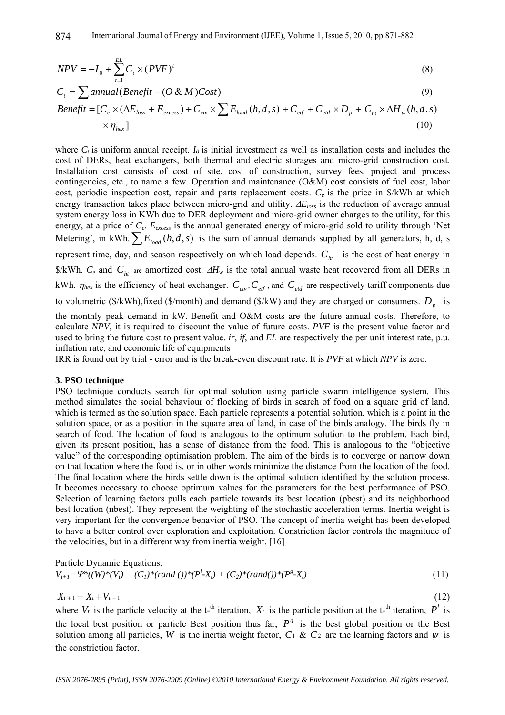$$
NPV = -I_0 + \sum_{t=1}^{EL} C_t \times (PVF)^t \tag{8}
$$

$$
C_t = \sum_{i=1}^{\infty} \text{annual}(\text{Benefit} - (O \& M)\text{Cost}) \tag{9}
$$

$$
Benefit = [C_e \times (\Delta E_{loss} + E_{excess}) + C_{ev} \times \sum E_{load}(h, d, s) + C_{ef} + C_{ed} \times D_p + C_h \times \Delta H_w(h, d, s) \times \eta_{hex}]
$$
\n
$$
(10)
$$

where  $C_t$  is uniform annual receipt.  $I_0$  is initial investment as well as installation costs and includes the cost of DERs, heat exchangers, both thermal and electric storages and micro-grid construction cost. Installation cost consists of cost of site, cost of construction, survey fees, project and process contingencies, etc., to name a few. Operation and maintenance (O&M) cost consists of fuel cost, labor cost, periodic inspection cost, repair and parts replacement costs. *Ce* is the price in \$/kWh at which energy transaction takes place between micro-grid and utility. ∆*Eloss* is the reduction of average annual system energy loss in KWh due to DER deployment and micro-grid owner charges to the utility, for this energy, at a price of  $C_e$ .  $E_{excess}$  is the annual generated energy of micro-grid sold to utility through 'Net Metering', in kWh.  $\sum E_{load}(h, d, s)$  is the sum of annual demands supplied by all generators, h, d, s represent time, day, and season respectively on which load depends.  $C<sub>ht</sub>$  is the cost of heat energy in \$/kWh. *C<sub>e</sub>* and *C<sub>ht</sub>* are amortized cost. ∆*H<sub>w</sub>* is the total annual waste heat recovered from all DERs in kWh.  $\eta_{hex}$  is the efficiency of heat exchanger.  $C_{etx}$ ,  $C_{et}$ , and  $C_{ed}$  are respectively tariff components due to volumetric ( $\frac{\sqrt{2}}{N}$ ), fixed ( $\frac{\sqrt{2}}{N}$ ) and demand ( $\frac{\sqrt{2}}{N}$ ) and they are charged on consumers.  $D_n$  is the monthly peak demand in kW. Benefit and O&M costs are the future annual costs. Therefore, to calculate *NPV*, it is required to discount the value of future costs. *PVF* is the present value factor and used to bring the future cost to present value. *ir*, *if*, and *EL* are respectively the per unit interest rate, p.u. inflation rate, and economic life of equipments

IRR is found out by trial - error and is the break-even discount rate. It is *PVF* at which *NPV* is zero.

#### **3. PSO technique**

PSO technique conducts search for optimal solution using particle swarm intelligence system. This method simulates the social behaviour of flocking of birds in search of food on a square grid of land, which is termed as the solution space. Each particle represents a potential solution, which is a point in the solution space, or as a position in the square area of land, in case of the birds analogy. The birds fly in search of food. The location of food is analogous to the optimum solution to the problem. Each bird, given its present position, has a sense of distance from the food. This is analogous to the "objective value" of the corresponding optimisation problem. The aim of the birds is to converge or narrow down on that location where the food is, or in other words minimize the distance from the location of the food. The final location where the birds settle down is the optimal solution identified by the solution process. It becomes necessary to choose optimum values for the parameters for the best performance of PSO. Selection of learning factors pulls each particle towards its best location (pbest) and its neighborhood best location (nbest). They represent the weighting of the stochastic acceleration terms. Inertia weight is very important for the convergence behavior of PSO. The concept of inertia weight has been developed to have a better control over exploration and exploitation. Constriction factor controls the magnitude of the velocities, but in a different way from inertia weight. [16]

Particle Dynamic Equations:

\n
$$
V_{t+1} = \mathcal{V}^*(W)^*(V_t) + (C_1)^*(rand())^*(P^t - X_t) + (C_2)^*(rand())^*(P^g - X_t)
$$
\n(11)

$$
X_{t+1} = X_t + V_{t+1} \tag{12}
$$

where  $V_t$  is the particle velocity at the t-<sup>th</sup> iteration,  $X_t$  is the particle position at the t-<sup>th</sup> iteration,  $P^l$  is the local best position or particle Best position thus far,  $P^s$  is the best global position or the Best solution among all particles, W is the inertia weight factor,  $C_1 \& C_2$  are the learning factors and  $\psi$  is the constriction factor.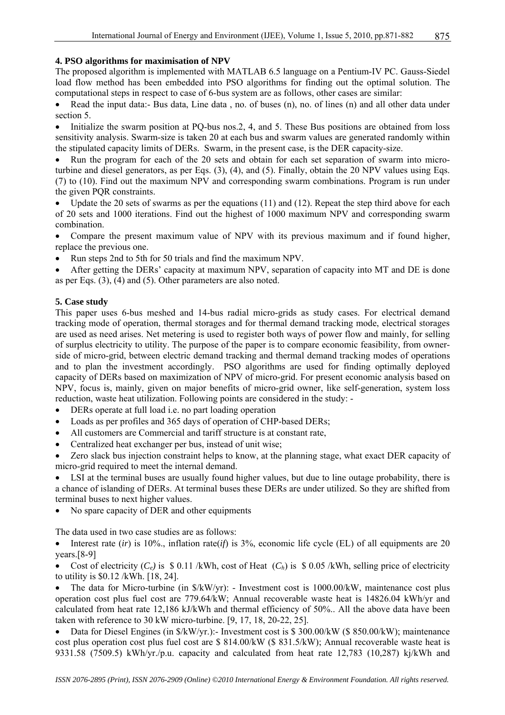# **4. PSO algorithms for maximisation of NPV**

The proposed algorithm is implemented with MATLAB 6.5 language on a Pentium-IV PC. Gauss-Siedel load flow method has been embedded into PSO algorithms for finding out the optimal solution. The computational steps in respect to case of 6-bus system are as follows, other cases are similar:

• Read the input data:- Bus data, Line data , no. of buses (n), no. of lines (n) and all other data under section 5.

• Initialize the swarm position at PQ-bus nos.2, 4, and 5. These Bus positions are obtained from loss sensitivity analysis. Swarm-size is taken 20 at each bus and swarm values are generated randomly within the stipulated capacity limits of DERs. Swarm, in the present case, is the DER capacity-size.

• Run the program for each of the 20 sets and obtain for each set separation of swarm into microturbine and diesel generators, as per Eqs. (3), (4), and (5). Finally, obtain the 20 NPV values using Eqs. (7) to (10). Find out the maximum NPV and corresponding swarm combinations. Program is run under the given PQR constraints.

Update the 20 sets of swarms as per the equations (11) and (12). Repeat the step third above for each of 20 sets and 1000 iterations. Find out the highest of 1000 maximum NPV and corresponding swarm combination.

• Compare the present maximum value of NPV with its previous maximum and if found higher, replace the previous one.

• Run steps 2nd to 5th for 50 trials and find the maximum NPV.

• After getting the DERs' capacity at maximum NPV, separation of capacity into MT and DE is done as per Eqs. (3), (4) and (5). Other parameters are also noted.

# **5. Case study**

This paper uses 6-bus meshed and 14-bus radial micro-grids as study cases. For electrical demand tracking mode of operation, thermal storages and for thermal demand tracking mode, electrical storages are used as need arises. Net metering is used to register both ways of power flow and mainly, for selling of surplus electricity to utility. The purpose of the paper is to compare economic feasibility, from ownerside of micro-grid, between electric demand tracking and thermal demand tracking modes of operations and to plan the investment accordingly. PSO algorithms are used for finding optimally deployed capacity of DERs based on maximization of NPV of micro-grid. For present economic analysis based on NPV, focus is, mainly, given on major benefits of micro-grid owner, like self-generation, system loss reduction, waste heat utilization. Following points are considered in the study: -

- DERs operate at full load i.e. no part loading operation
- Loads as per profiles and 365 days of operation of CHP-based DERs;
- All customers are Commercial and tariff structure is at constant rate,
- Centralized heat exchanger per bus, instead of unit wise;
- Zero slack bus injection constraint helps to know, at the planning stage, what exact DER capacity of micro-grid required to meet the internal demand.

• LSI at the terminal buses are usually found higher values, but due to line outage probability, there is a chance of islanding of DERs. At terminal buses these DERs are under utilized. So they are shifted from terminal buses to next higher values.

• No spare capacity of DER and other equipments

The data used in two case studies are as follows:

• Interest rate *(ir)* is 10%, inflation rate *(if)* is 3%, economic life cycle *(EL)* of all equipments are 20 years.[8-9]

Cost of electricity  $(C_e)$  is \$ 0.11 /kWh, cost of Heat  $(C_h)$  is \$ 0.05 /kWh, selling price of electricity to utility is \$0.12 /kWh. [18, 24].

• The data for Micro-turbine (in  $\frac{S}{K}W/\gamma r$ ): - Investment cost is 1000.00/kW, maintenance cost plus operation cost plus fuel cost are 779.64/kW; Annual recoverable waste heat is 14826.04 kWh/yr and calculated from heat rate 12,186 kJ/kWh and thermal efficiency of 50%.. All the above data have been taken with reference to 30 kW micro-turbine. [9, 17, 18, 20-22, 25].

• Data for Diesel Engines (in  $\frac{K}{W}$ /yr.):-Investment cost is \$ 300.00/kW (\$ 850.00/kW); maintenance cost plus operation cost plus fuel cost are \$ 814.00/kW (\$ 831.5/kW); Annual recoverable waste heat is 9331.58 (7509.5) kWh/yr./p.u. capacity and calculated from heat rate 12,783 (10,287) kj/kWh and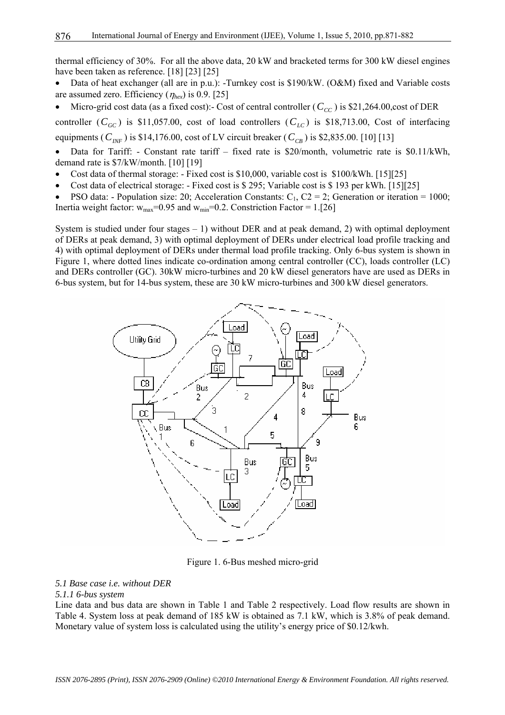thermal efficiency of 30%. For all the above data, 20 kW and bracketed terms for 300 kW diesel engines have been taken as reference. [18] [23] [25]

- Data of heat exchanger (all are in p.u.): -Turnkey cost is \$190/kW. (O&M) fixed and Variable costs are assumed zero. Efficiency (<sup>η</sup>*hex*) is 0.9. [25]
- Micro-grid cost data (as a fixed cost):- Cost of central controller  $(C_{CC})$  is \$21,264.00,cost of DER

controller  $(C_{GC})$  is \$11,057.00, cost of load controllers  $(C_{LC})$  is \$18,713.00, Cost of interfacing equipments ( $C_{\text{INF}}$ ) is \$14,176.00, cost of LV circuit breaker ( $C_{\text{CB}}$ ) is \$2,835.00. [10] [13]

- Data for Tariff: Constant rate tariff fixed rate is \$20/month, volumetric rate is \$0.11/kWh, demand rate is \$7/kW/month. [10] [19]
- Cost data of thermal storage: Fixed cost is \$10,000, variable cost is \$100/kWh. [15][25]
- Cost data of electrical storage: Fixed cost is \$ 295; Variable cost is \$ 193 per kWh. [15][25]
- PSO data: Population size: 20; Acceleration Constants:  $C_1$ ,  $C_2 = 2$ ; Generation or iteration = 1000; Inertia weight factor:  $w_{max}$ =0.95 and  $w_{min}$ =0.2. Constriction Factor = 1.[26]

System is studied under four stages  $-1$ ) without DER and at peak demand, 2) with optimal deployment of DERs at peak demand, 3) with optimal deployment of DERs under electrical load profile tracking and 4) with optimal deployment of DERs under thermal load profile tracking. Only 6-bus system is shown in Figure 1, where dotted lines indicate co-ordination among central controller (CC), loads controller (LC) and DERs controller (GC). 30kW micro-turbines and 20 kW diesel generators have are used as DERs in 6-bus system, but for 14-bus system, these are 30 kW micro-turbines and 300 kW diesel generators.



Figure 1. 6-Bus meshed micro-grid

### *5.1 Base case i.e. without DER*

### *5.1.1 6-bus system*

Line data and bus data are shown in Table 1 and Table 2 respectively. Load flow results are shown in Table 4. System loss at peak demand of 185 kW is obtained as 7.1 kW, which is 3.8% of peak demand. Monetary value of system loss is calculated using the utility's energy price of \$0.12/kwh.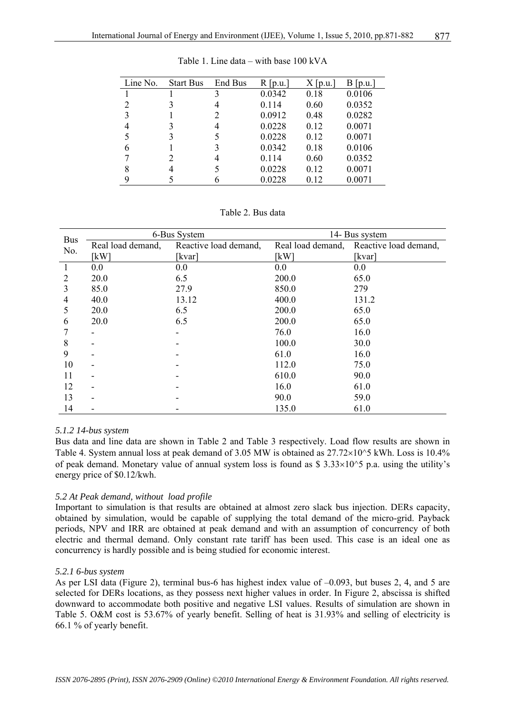| Line No. | <b>Start Bus</b> | End Bus | $R$  p.u. | $X$  p.u. | $B$  p.u. |
|----------|------------------|---------|-----------|-----------|-----------|
|          |                  | 3       | 0.0342    | 0.18      | 0.0106    |
| 2        |                  |         | 0.114     | 0.60      | 0.0352    |
| 3        |                  | 2       | 0.0912    | 0.48      | 0.0282    |
| 4        |                  | 4       | 0.0228    | 0.12      | 0.0071    |
| 5        | 3                |         | 0.0228    | 0.12      | 0.0071    |
| 6        |                  | 3       | 0.0342    | 0.18      | 0.0106    |
|          |                  | 4       | 0.114     | 0.60      | 0.0352    |
| 8        | 4                |         | 0.0228    | 0.12      | 0.0071    |
| 9        |                  |         | 0.0228    | 0.12      | 0.0071    |

Table 1. Line data – with base 100 kVA

Table 2. Bus data

|                   |                   | 6-Bus System          |                   | 14- Bus system        |
|-------------------|-------------------|-----------------------|-------------------|-----------------------|
| <b>Bus</b><br>No. | Real load demand, | Reactive load demand, | Real load demand, | Reactive load demand, |
|                   | [kW]              | [kvar]                | [kW]              | [kvar]                |
| 1                 | 0.0               | 0.0                   | 0.0               | 0.0                   |
| 2                 | 20.0              | 6.5                   | 200.0             | 65.0                  |
| 3                 | 85.0              | 27.9                  | 850.0             | 279                   |
| 4                 | 40.0              | 13.12                 | 400.0             | 131.2                 |
| 5                 | 20.0              | 6.5                   | 200.0             | 65.0                  |
| 6                 | 20.0              | 6.5                   | 200.0             | 65.0                  |
|                   |                   |                       | 76.0              | 16.0                  |
| 8                 |                   |                       | 100.0             | 30.0                  |
| 9                 |                   |                       | 61.0              | 16.0                  |
| 10                |                   |                       | 112.0             | 75.0                  |
| 11                |                   |                       | 610.0             | 90.0                  |
| 12                |                   |                       | 16.0              | 61.0                  |
| 13                |                   |                       | 90.0              | 59.0                  |
| 14                |                   |                       | 135.0             | 61.0                  |

# *5.1.2 14-bus system*

Bus data and line data are shown in Table 2 and Table 3 respectively. Load flow results are shown in Table 4. System annual loss at peak demand of 3.05 MW is obtained as  $27.72\times10^{6}$  kWh. Loss is 10.4% of peak demand. Monetary value of annual system loss is found as \$  $3.33 \times 10^{6}$  p.a. using the utility's energy price of \$0.12/kwh.

# *5.2 At Peak demand, without load profile*

Important to simulation is that results are obtained at almost zero slack bus injection. DERs capacity, obtained by simulation, would be capable of supplying the total demand of the micro-grid. Payback periods, NPV and IRR are obtained at peak demand and with an assumption of concurrency of both electric and thermal demand. Only constant rate tariff has been used. This case is an ideal one as concurrency is hardly possible and is being studied for economic interest.

#### *5.2.1 6-bus system*

As per LSI data (Figure 2), terminal bus-6 has highest index value of –0.093, but buses 2, 4, and 5 are selected for DERs locations, as they possess next higher values in order. In Figure 2, abscissa is shifted downward to accommodate both positive and negative LSI values. Results of simulation are shown in Table 5. O&M cost is 53.67% of yearly benefit. Selling of heat is 31.93% and selling of electricity is 66.1 % of yearly benefit.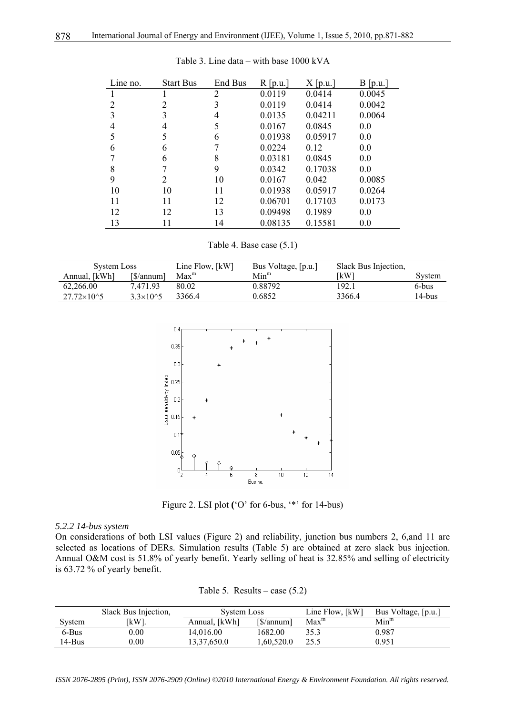| Line no. | <b>Start Bus</b> | End Bus | $R$ [p.u.] | $X$ [p.u.] | $B$ [p.u.] |
|----------|------------------|---------|------------|------------|------------|
|          |                  | 2       | 0.0119     | 0.0414     | 0.0045     |
| 2        | $\overline{2}$   | 3       | 0.0119     | 0.0414     | 0.0042     |
| 3        | 3                | 4       | 0.0135     | 0.04211    | 0.0064     |
| 4        | 4                | 5       | 0.0167     | 0.0845     | 0.0        |
| 5        | 5                | 6       | 0.01938    | 0.05917    | 0.0        |
| 6        | 6                |         | 0.0224     | 0.12       | 0.0        |
|          | 6                | 8       | 0.03181    | 0.0845     | 0.0        |
| 8        |                  | 9       | 0.0342     | 0.17038    | 0.0        |
| 9        | 2                | 10      | 0.0167     | 0.042      | 0.0085     |
| 10       | 10               | 11      | 0.01938    | 0.05917    | 0.0264     |
| 11       | 11               | 12      | 0.06701    | 0.17103    | 0.0173     |
| 12       | 12               | 13      | 0.09498    | 0.1989     | 0.0        |
| 13       |                  | 14      | 0.08135    | 0.15581    | 0.0        |

Table 3. Line data – with base 1000 kVA

Table 4. Base case (5.1)

| System Loss         |                     | Line Flow, [kW]  | Bus Voltage, [p.u.] | Slack Bus Injection, |        |
|---------------------|---------------------|------------------|---------------------|----------------------|--------|
| Annual, [kWh]       | [S/annum]           | Max <sup>m</sup> | $Min^m$             | 「kW                  | Svstem |
| 62.266.00           | 7.471.93            | 80.02            | 0.88792             | 192.1                | 6-bus  |
| $27.72\times10^{6}$ | $3.3 \times 10^{3}$ | 3366.4           | 0.6852              | 3366.4               | 14-bus |



Figure 2. LSI plot **(**'O' for 6-bus, '\*' for 14-bus)

#### *5.2.2 14-bus system*

On considerations of both LSI values (Figure 2) and reliability, junction bus numbers 2, 6,and 11 are selected as locations of DERs. Simulation results (Table 5) are obtained at zero slack bus injection. Annual O&M cost is 51.8% of yearly benefit. Yearly selling of heat is 32.85% and selling of electricity is 63.72 % of yearly benefit.

|        | Slack Bus Injection, | System Loss   |           | Line Flow, [kW]  | Bus Voltage, [p.u.] |
|--------|----------------------|---------------|-----------|------------------|---------------------|
| System | 「kW1.                | Annual, [kWh] | [S/annum] | Max <sup>m</sup> | $Min^m$             |
| 6-Bus  | $0.00\,$             | 14.016.00     | 1682.00   | 35.3             | 0.987               |
| 14-Bus | 0.00                 | 13.37.650.0   | .60.520.0 | 25.5             | 0.951               |

Table 5. Results – case (5.2)

*ISSN 2076-2895 (Print), ISSN 2076-2909 (Online) ©2010 International Energy & Environment Foundation. All rights reserved.*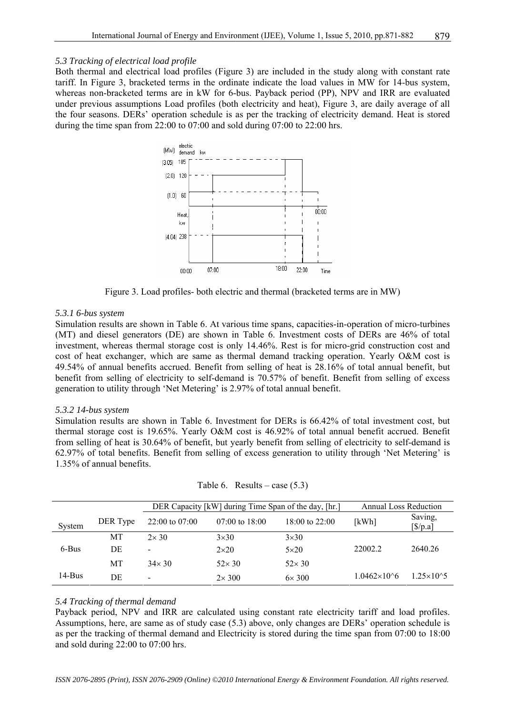### *5.3 Tracking of electrical load profile*

Both thermal and electrical load profiles (Figure 3) are included in the study along with constant rate tariff. In Figure 3, bracketed terms in the ordinate indicate the load values in MW for 14-bus system, whereas non-bracketed terms are in kW for 6-bus. Payback period (PP), NPV and IRR are evaluated under previous assumptions Load profiles (both electricity and heat), Figure 3, are daily average of all the four seasons. DERs' operation schedule is as per the tracking of electricity demand. Heat is stored during the time span from 22:00 to 07:00 and sold during 07:00 to 22:00 hrs.



Figure 3. Load profiles- both electric and thermal (bracketed terms are in MW)

### *5.3.1 6-bus system*

Simulation results are shown in Table 6. At various time spans, capacities-in-operation of micro-turbines (MT) and diesel generators (DE) are shown in Table 6. Investment costs of DERs are 46% of total investment, whereas thermal storage cost is only 14.46%. Rest is for micro-grid construction cost and cost of heat exchanger, which are same as thermal demand tracking operation. Yearly O&M cost is 49.54% of annual benefits accrued. Benefit from selling of heat is 28.16% of total annual benefit, but benefit from selling of electricity to self-demand is 70.57% of benefit. Benefit from selling of excess generation to utility through 'Net Metering' is 2.97% of total annual benefit.

#### *5.3.2 14-bus system*

Simulation results are shown in Table 6. Investment for DERs is 66.42% of total investment cost, but thermal storage cost is 19.65%. Yearly O&M cost is 46.92% of total annual benefit accrued. Benefit from selling of heat is 30.64% of benefit, but yearly benefit from selling of electricity to self-demand is 62.97% of total benefits. Benefit from selling of excess generation to utility through 'Net Metering' is 1.35% of annual benefits.

|           |           |                          | DER Capacity [kW] during Time Span of the day, [hr.] |                | <b>Annual Loss Reduction</b> |                                          |
|-----------|-----------|--------------------------|------------------------------------------------------|----------------|------------------------------|------------------------------------------|
| System    | DER Type  | $22:00$ to 07:00         | $07:00$ to $18:00$                                   | 18:00 to 22:00 | [kWh]                        | Saving,<br>$\left[\frac{\$}{p.a}\right]$ |
|           | MT        | $2\times 30$             | $3\times30$                                          | $3\times30$    |                              |                                          |
| 6-Bus     | DE        |                          | $2\times20$                                          | $5\times20$    | 22002.2                      | 2640.26                                  |
|           | <b>MT</b> | $34\times30$             | $52\times30$                                         | $52\times30$   |                              |                                          |
| $14$ -Bus | DE        | $\overline{\phantom{a}}$ | $2\times 300$                                        | $6\times 300$  | $1.0462\times10^{6}$         | $1.25 \times 10^{3}$                     |

| Table 6. Results – case $(5.3)$ |  |
|---------------------------------|--|
|                                 |  |

# *5.4 Tracking of thermal demand*

Payback period, NPV and IRR are calculated using constant rate electricity tariff and load profiles. Assumptions, here, are same as of study case (5.3) above, only changes are DERs' operation schedule is as per the tracking of thermal demand and Electricity is stored during the time span from 07:00 to 18:00 and sold during 22:00 to 07:00 hrs.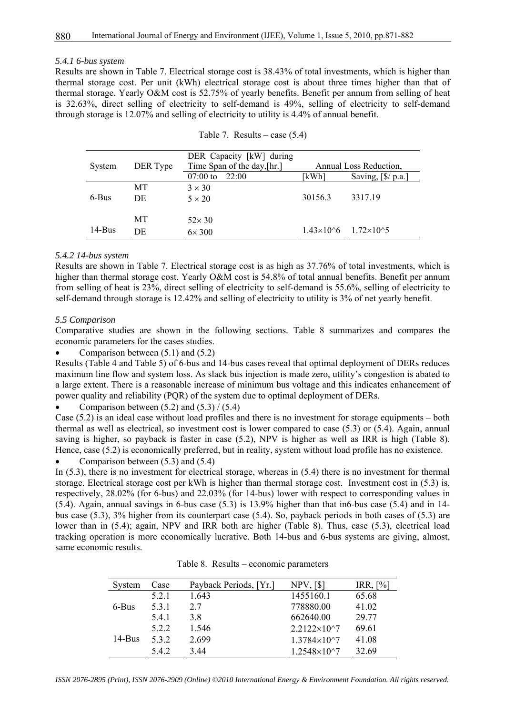#### *5.4.1 6-bus system*

Results are shown in Table 7. Electrical storage cost is 38.43% of total investments, which is higher than thermal storage cost. Per unit (kWh) electrical storage cost is about three times higher than that of thermal storage. Yearly O&M cost is 52.75% of yearly benefits. Benefit per annum from selling of heat is 32.63%, direct selling of electricity to self-demand is 49%, selling of electricity to self-demand through storage is 12.07% and selling of electricity to utility is 4.4% of annual benefit.

| System   | DER Type | DER Capacity [kW] during<br>Time Span of the day, [hr.] |                                       | Annual Loss Reduction,                   |
|----------|----------|---------------------------------------------------------|---------------------------------------|------------------------------------------|
|          |          | $07:00$ to<br>22:00                                     | [kWh]                                 | Saving, $\left[\frac{6}{2}\right]$ p.a.] |
| 6-Bus    | МT<br>DE | $3 \times 30$<br>$5 \times 20$                          | 30156.3                               | 3317.19                                  |
|          | МT       | $52\times30$                                            |                                       |                                          |
| $14-Bus$ | DE       | $6\times 300$                                           | $1.43\times10^{6}$ $1.72\times10^{6}$ |                                          |

|  | Table 7. Results – case $(5.4)$ |  |  |
|--|---------------------------------|--|--|
|--|---------------------------------|--|--|

# *5.4.2 14-bus system*

Results are shown in Table 7. Electrical storage cost is as high as 37.76% of total investments, which is higher than thermal storage cost. Yearly O&M cost is 54.8% of total annual benefits. Benefit per annum from selling of heat is 23%, direct selling of electricity to self-demand is 55.6%, selling of electricity to self-demand through storage is 12.42% and selling of electricity to utility is 3% of net yearly benefit.

#### *5.5 Comparison*

Comparative studies are shown in the following sections. Table 8 summarizes and compares the economic parameters for the cases studies.

Comparison between  $(5.1)$  and  $(5.2)$ 

Results (Table 4 and Table 5) of 6-bus and 14-bus cases reveal that optimal deployment of DERs reduces maximum line flow and system loss. As slack bus injection is made zero, utility's congestion is abated to a large extent. There is a reasonable increase of minimum bus voltage and this indicates enhancement of power quality and reliability (PQR) of the system due to optimal deployment of DERs.

• Comparison between  $(5.2)$  and  $(5.3) / (5.4)$ 

Case (5.2) is an ideal case without load profiles and there is no investment for storage equipments – both thermal as well as electrical, so investment cost is lower compared to case (5.3) or (5.4). Again, annual saving is higher, so payback is faster in case (5.2), NPV is higher as well as IRR is high (Table 8). Hence, case (5.2) is economically preferred, but in reality, system without load profile has no existence.

Comparison between  $(5.3)$  and  $(5.4)$ 

In (5.3), there is no investment for electrical storage, whereas in (5.4) there is no investment for thermal storage. Electrical storage cost per kWh is higher than thermal storage cost. Investment cost in (5.3) is, respectively, 28.02% (for 6-bus) and 22.03% (for 14-bus) lower with respect to corresponding values in (5.4). Again, annual savings in 6-bus case (5.3) is 13.9% higher than that in6-bus case (5.4) and in 14 bus case (5.3), 3% higher from its counterpart case (5.4). So, payback periods in both cases of (5.3) are lower than in (5.4); again, NPV and IRR both are higher (Table 8). Thus, case (5.3), electrical load tracking operation is more economically lucrative. Both 14-bus and 6-bus systems are giving, almost, same economic results.

| Svstem | Case  | Payback Periods, [Yr.] | NPV, [\$]             | IRR, [%] |
|--------|-------|------------------------|-----------------------|----------|
| 6-Bus  | 5.2.1 | 1.643                  | 1455160.1             | 65.68    |
|        | 5.3.1 | 27                     | 778880.00             | 41.02    |
|        | 5.4.1 | 3 R                    | 662640.00             | 29 77    |
|        | 5.2.2 | 1.546                  | $2.2122\times10^{27}$ | 69.61    |
| 14-Bus | 532   | 2.699                  | $1.3784\times10^{27}$ | 41.08    |
|        | 5.4.2 | 3.44                   | $1.2548\times10^{27}$ | 32.69    |

Table 8. Results – economic parameters

*ISSN 2076-2895 (Print), ISSN 2076-2909 (Online) ©2010 International Energy & Environment Foundation. All rights reserved.*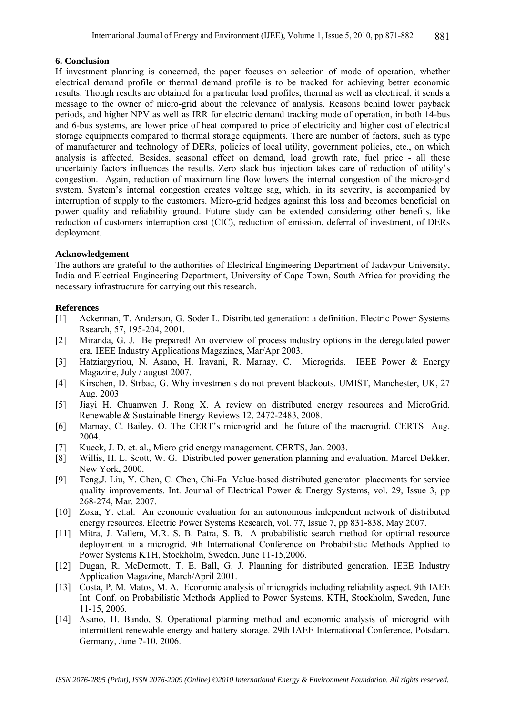# **6. Conclusion**

If investment planning is concerned, the paper focuses on selection of mode of operation, whether electrical demand profile or thermal demand profile is to be tracked for achieving better economic results. Though results are obtained for a particular load profiles, thermal as well as electrical, it sends a message to the owner of micro-grid about the relevance of analysis. Reasons behind lower payback periods, and higher NPV as well as IRR for electric demand tracking mode of operation, in both 14-bus and 6-bus systems, are lower price of heat compared to price of electricity and higher cost of electrical storage equipments compared to thermal storage equipments. There are number of factors, such as type of manufacturer and technology of DERs, policies of local utility, government policies, etc., on which analysis is affected. Besides, seasonal effect on demand, load growth rate, fuel price - all these uncertainty factors influences the results. Zero slack bus injection takes care of reduction of utility's congestion. Again, reduction of maximum line flow lowers the internal congestion of the micro-grid system. System's internal congestion creates voltage sag, which, in its severity, is accompanied by interruption of supply to the customers. Micro-grid hedges against this loss and becomes beneficial on power quality and reliability ground. Future study can be extended considering other benefits, like reduction of customers interruption cost (CIC), reduction of emission, deferral of investment, of DERs deployment.

# **Acknowledgement**

The authors are grateful to the authorities of Electrical Engineering Department of Jadavpur University, India and Electrical Engineering Department, University of Cape Town, South Africa for providing the necessary infrastructure for carrying out this research.

# **References**

- [1] Ackerman, T. Anderson, G. Soder L. Distributed generation: a definition. Electric Power Systems Rsearch, 57, 195-204, 2001.
- [2] Miranda, G. J. Be prepared! An overview of process industry options in the deregulated power era. IEEE Industry Applications Magazines, Mar/Apr 2003.
- [3] Hatziargyriou, N. Asano, H. Iravani, R. Marnay, C. Microgrids. IEEE Power & Energy Magazine, July / august 2007.
- [4] Kirschen, D. Strbac, G. Why investments do not prevent blackouts. UMIST, Manchester, UK, 27 Aug. 2003
- [5] Jiayi H. Chuanwen J. Rong X. A review on distributed energy resources and MicroGrid. Renewable & Sustainable Energy Reviews 12, 2472-2483, 2008.
- [6] Marnay, C. Bailey, O. The CERT's microgrid and the future of the macrogrid. CERTS Aug. 2004.
- [7] Kueck, J. D. et. al., Micro grid energy management. CERTS, Jan. 2003.
- [8] Willis, H. L. Scott, W. G. Distributed power generation planning and evaluation. Marcel Dekker, New York, 2000.
- [9] Teng,J. Liu, Y. Chen, C. Chen, Chi-Fa Value-based distributed generator placements for service quality improvements. Int. Journal of Electrical Power & Energy Systems, vol. 29, Issue 3, pp 268-274, Mar. 2007.
- [10] Zoka, Y. et.al. An economic evaluation for an autonomous independent network of distributed energy resources. Electric Power Systems Research, vol. 77, Issue 7, pp 831-838, May 2007.
- [11] Mitra, J. Vallem, M.R. S. B. Patra, S. B. A probabilistic search method for optimal resource deployment in a microgrid. 9th International Conference on Probabilistic Methods Applied to Power Systems KTH, Stockholm, Sweden, June 11-15,2006.
- [12] Dugan, R. McDermott, T. E. Ball, G. J. Planning for distributed generation. IEEE Industry Application Magazine, March/April 2001.
- [13] Costa, P. M. Matos, M. A. Economic analysis of microgrids including reliability aspect. 9th IAEE Int. Conf. on Probabilistic Methods Applied to Power Systems, KTH, Stockholm, Sweden, June 11-15, 2006.
- [14] Asano, H. Bando, S. Operational planning method and economic analysis of microgrid with intermittent renewable energy and battery storage. 29th IAEE International Conference, Potsdam, Germany, June 7-10, 2006.